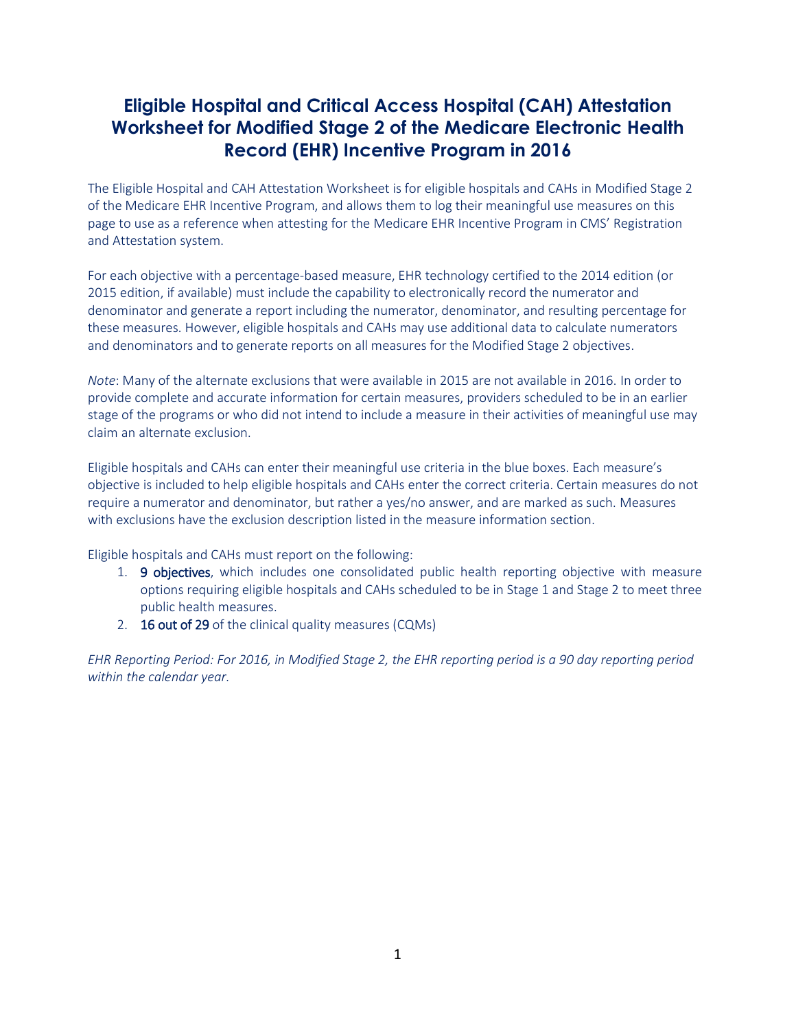## **Eligible Hospital and Critical Access Hospital (CAH) Attestation Worksheet for Modified Stage 2 of the Medicare Electronic Health Record (EHR) Incentive Program in 2016**

The Eligible Hospital and CAH Attestation Worksheet is for eligible hospitals and CAHs in Modified Stage 2 of the Medicare EHR Incentive Program, and allows them to log their meaningful use measures on this page to use as a reference when attesting for the Medicare EHR Incentive Program in CMS' Registration and Attestation system.

For each objective with a percentage-based measure, EHR technology certified to the 2014 edition (or 2015 edition, if available) must include the capability to electronically record the numerator and denominator and generate a report including the numerator, denominator, and resulting percentage for these measures. However, eligible hospitals and CAHs may use additional data to calculate numerators and denominators and to generate reports on all measures for the Modified Stage 2 objectives.

*Note*: Many of the alternate exclusions that were available in 2015 are not available in 2016. In order to provide complete and accurate information for certain measures, providers scheduled to be in an earlier stage of the programs or who did not intend to include a measure in their activities of meaningful use may claim an alternate exclusion.

Eligible hospitals and CAHs can enter their meaningful use criteria in the blue boxes. Each measure's objective is included to help eligible hospitals and CAHs enter the correct criteria. Certain measures do not require a numerator and denominator, but rather a yes/no answer, and are marked as such. Measures with exclusions have the exclusion description listed in the measure information section.

Eligible hospitals and CAHs must report on the following:

- 1. **9 objectives**, which includes one consolidated public health reporting objective with measure options requiring eligible hospitals and CAHs scheduled to be in Stage 1 and Stage 2 to meet three public health measures.
- 2. **16 out of 29** of the clinical quality measures (CQMs)

*EHR Reporting Period: For 2016, in Modified Stage 2, the EHR reporting period is a 90 day reporting period within the calendar year.*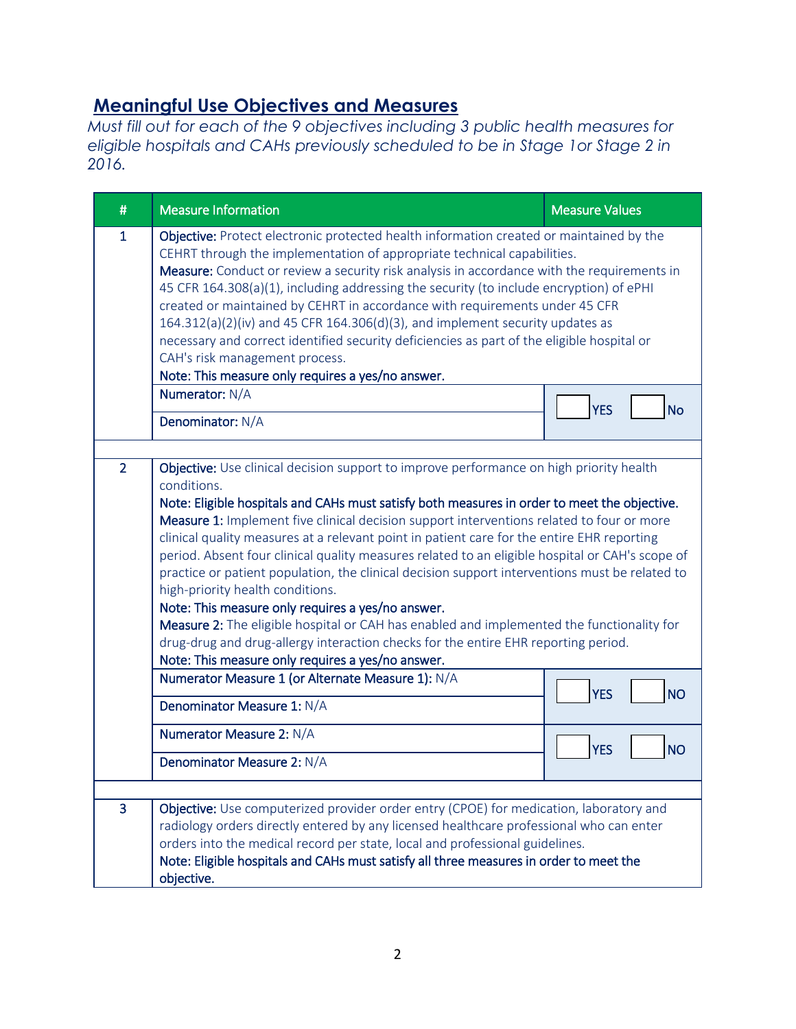## **Meaningful Use Objectives and Measures**

*Must fill out for each of the 9 objectives including 3 public health measures for eligible hospitals and CAHs previously scheduled to be in Stage 1or Stage 2 in 2016.* 

| #              | <b>Measure Information</b>                                                                                                                                                                                                                                                                                                                                                                                                                                                                                                                                                                                                                                                                                                                                                                                                                                                                                                              | <b>Measure Values</b>   |
|----------------|-----------------------------------------------------------------------------------------------------------------------------------------------------------------------------------------------------------------------------------------------------------------------------------------------------------------------------------------------------------------------------------------------------------------------------------------------------------------------------------------------------------------------------------------------------------------------------------------------------------------------------------------------------------------------------------------------------------------------------------------------------------------------------------------------------------------------------------------------------------------------------------------------------------------------------------------|-------------------------|
| $\mathbf{1}$   | Objective: Protect electronic protected health information created or maintained by the<br>CEHRT through the implementation of appropriate technical capabilities.<br>Measure: Conduct or review a security risk analysis in accordance with the requirements in<br>45 CFR 164.308(a)(1), including addressing the security (to include encryption) of ePHI<br>created or maintained by CEHRT in accordance with requirements under 45 CFR<br>$164.312(a)(2)(iv)$ and 45 CFR 164.306(d)(3), and implement security updates as<br>necessary and correct identified security deficiencies as part of the eligible hospital or<br>CAH's risk management process.<br>Note: This measure only requires a yes/no answer.                                                                                                                                                                                                                      |                         |
|                | Numerator: N/A                                                                                                                                                                                                                                                                                                                                                                                                                                                                                                                                                                                                                                                                                                                                                                                                                                                                                                                          | <b>YES</b><br><b>No</b> |
|                | Denominator: N/A                                                                                                                                                                                                                                                                                                                                                                                                                                                                                                                                                                                                                                                                                                                                                                                                                                                                                                                        |                         |
| $\overline{2}$ | Objective: Use clinical decision support to improve performance on high priority health<br>conditions.<br>Note: Eligible hospitals and CAHs must satisfy both measures in order to meet the objective.<br>Measure 1: Implement five clinical decision support interventions related to four or more<br>clinical quality measures at a relevant point in patient care for the entire EHR reporting<br>period. Absent four clinical quality measures related to an eligible hospital or CAH's scope of<br>practice or patient population, the clinical decision support interventions must be related to<br>high-priority health conditions.<br>Note: This measure only requires a yes/no answer.<br>Measure 2: The eligible hospital or CAH has enabled and implemented the functionality for<br>drug-drug and drug-allergy interaction checks for the entire EHR reporting period.<br>Note: This measure only requires a yes/no answer. |                         |
|                | Numerator Measure 1 (or Alternate Measure 1): N/A<br>Denominator Measure 1: N/A                                                                                                                                                                                                                                                                                                                                                                                                                                                                                                                                                                                                                                                                                                                                                                                                                                                         | <b>YES</b><br><b>NO</b> |
|                | Numerator Measure 2: N/A                                                                                                                                                                                                                                                                                                                                                                                                                                                                                                                                                                                                                                                                                                                                                                                                                                                                                                                | <b>YES</b><br><b>NO</b> |
|                | Denominator Measure 2: N/A                                                                                                                                                                                                                                                                                                                                                                                                                                                                                                                                                                                                                                                                                                                                                                                                                                                                                                              |                         |
| $\overline{3}$ | Objective: Use computerized provider order entry (CPOE) for medication, laboratory and<br>radiology orders directly entered by any licensed healthcare professional who can enter<br>orders into the medical record per state, local and professional guidelines.<br>Note: Eligible hospitals and CAHs must satisfy all three measures in order to meet the<br>objective.                                                                                                                                                                                                                                                                                                                                                                                                                                                                                                                                                               |                         |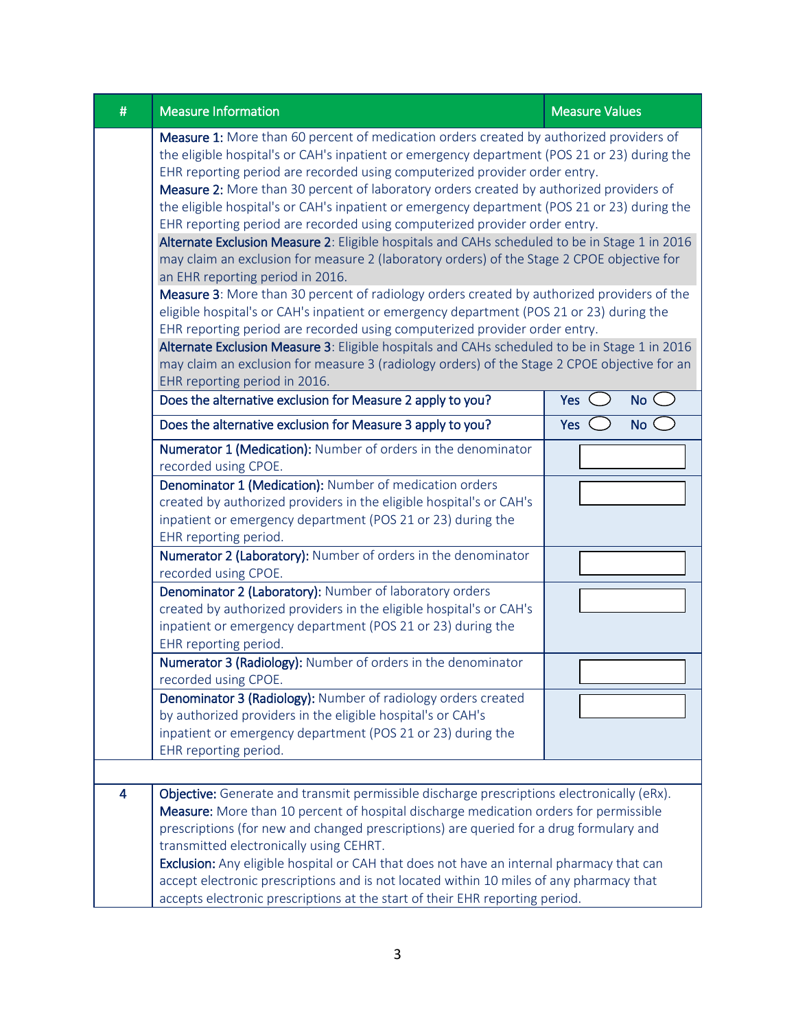| # | <b>Measure Information</b>                                                                                                                                                                                                                                                                                                                                                                                                                                                                                                                                                                                                                                                                                                                                                                                                                                                                                                                                                                                                                                                                                                                                                                                                                                                                  | <b>Measure Values</b> |  |
|---|---------------------------------------------------------------------------------------------------------------------------------------------------------------------------------------------------------------------------------------------------------------------------------------------------------------------------------------------------------------------------------------------------------------------------------------------------------------------------------------------------------------------------------------------------------------------------------------------------------------------------------------------------------------------------------------------------------------------------------------------------------------------------------------------------------------------------------------------------------------------------------------------------------------------------------------------------------------------------------------------------------------------------------------------------------------------------------------------------------------------------------------------------------------------------------------------------------------------------------------------------------------------------------------------|-----------------------|--|
|   | Measure 1: More than 60 percent of medication orders created by authorized providers of<br>the eligible hospital's or CAH's inpatient or emergency department (POS 21 or 23) during the<br>EHR reporting period are recorded using computerized provider order entry.<br>Measure 2: More than 30 percent of laboratory orders created by authorized providers of<br>the eligible hospital's or CAH's inpatient or emergency department (POS 21 or 23) during the<br>EHR reporting period are recorded using computerized provider order entry.<br>Alternate Exclusion Measure 2: Eligible hospitals and CAHs scheduled to be in Stage 1 in 2016<br>may claim an exclusion for measure 2 (laboratory orders) of the Stage 2 CPOE objective for<br>an EHR reporting period in 2016.<br>Measure 3: More than 30 percent of radiology orders created by authorized providers of the<br>eligible hospital's or CAH's inpatient or emergency department (POS 21 or 23) during the<br>EHR reporting period are recorded using computerized provider order entry.<br>Alternate Exclusion Measure 3: Eligible hospitals and CAHs scheduled to be in Stage 1 in 2016<br>may claim an exclusion for measure 3 (radiology orders) of the Stage 2 CPOE objective for an<br>EHR reporting period in 2016. |                       |  |
|   | Does the alternative exclusion for Measure 2 apply to you?                                                                                                                                                                                                                                                                                                                                                                                                                                                                                                                                                                                                                                                                                                                                                                                                                                                                                                                                                                                                                                                                                                                                                                                                                                  | No<br>Yes             |  |
|   | Does the alternative exclusion for Measure 3 apply to you?                                                                                                                                                                                                                                                                                                                                                                                                                                                                                                                                                                                                                                                                                                                                                                                                                                                                                                                                                                                                                                                                                                                                                                                                                                  | No C<br>Yes           |  |
|   | Numerator 1 (Medication): Number of orders in the denominator<br>recorded using CPOE.                                                                                                                                                                                                                                                                                                                                                                                                                                                                                                                                                                                                                                                                                                                                                                                                                                                                                                                                                                                                                                                                                                                                                                                                       |                       |  |
|   | Denominator 1 (Medication): Number of medication orders<br>created by authorized providers in the eligible hospital's or CAH's<br>inpatient or emergency department (POS 21 or 23) during the<br>EHR reporting period.                                                                                                                                                                                                                                                                                                                                                                                                                                                                                                                                                                                                                                                                                                                                                                                                                                                                                                                                                                                                                                                                      |                       |  |
|   | Numerator 2 (Laboratory): Number of orders in the denominator<br>recorded using CPOE.                                                                                                                                                                                                                                                                                                                                                                                                                                                                                                                                                                                                                                                                                                                                                                                                                                                                                                                                                                                                                                                                                                                                                                                                       |                       |  |
|   | Denominator 2 (Laboratory): Number of laboratory orders<br>created by authorized providers in the eligible hospital's or CAH's<br>inpatient or emergency department (POS 21 or 23) during the<br>EHR reporting period.                                                                                                                                                                                                                                                                                                                                                                                                                                                                                                                                                                                                                                                                                                                                                                                                                                                                                                                                                                                                                                                                      |                       |  |
|   | Numerator 3 (Radiology): Number of orders in the denominator<br>recorded using CPOE.                                                                                                                                                                                                                                                                                                                                                                                                                                                                                                                                                                                                                                                                                                                                                                                                                                                                                                                                                                                                                                                                                                                                                                                                        |                       |  |
|   | Denominator 3 (Radiology): Number of radiology orders created<br>by authorized providers in the eligible hospital's or CAH's<br>inpatient or emergency department (POS 21 or 23) during the<br>EHR reporting period.                                                                                                                                                                                                                                                                                                                                                                                                                                                                                                                                                                                                                                                                                                                                                                                                                                                                                                                                                                                                                                                                        |                       |  |
|   |                                                                                                                                                                                                                                                                                                                                                                                                                                                                                                                                                                                                                                                                                                                                                                                                                                                                                                                                                                                                                                                                                                                                                                                                                                                                                             |                       |  |
| 4 | Objective: Generate and transmit permissible discharge prescriptions electronically (eRx).<br>Measure: More than 10 percent of hospital discharge medication orders for permissible<br>prescriptions (for new and changed prescriptions) are queried for a drug formulary and<br>transmitted electronically using CEHRT.<br>Exclusion: Any eligible hospital or CAH that does not have an internal pharmacy that can<br>accept electronic prescriptions and is not located within 10 miles of any pharmacy that<br>accepts electronic prescriptions at the start of their EHR reporting period.                                                                                                                                                                                                                                                                                                                                                                                                                                                                                                                                                                                                                                                                                             |                       |  |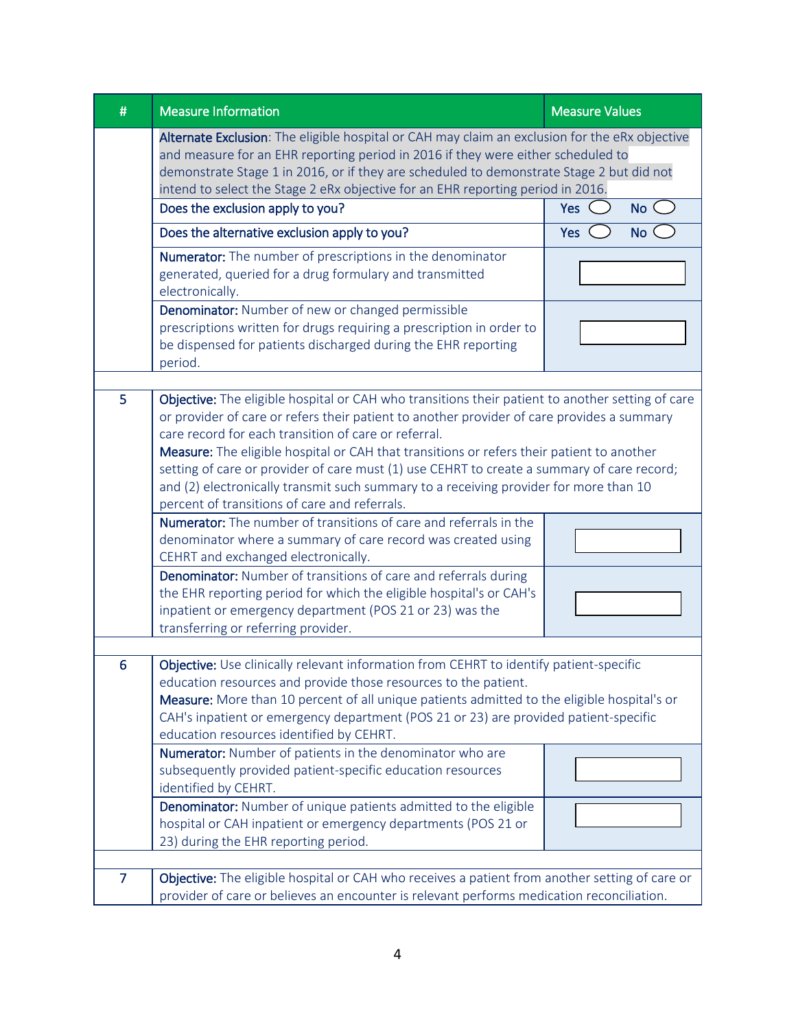| # | <b>Measure Information</b>                                                                                                                                                                                                                                                                                                                                                                                                                                                                                                                                                                  | <b>Measure Values</b> |
|---|---------------------------------------------------------------------------------------------------------------------------------------------------------------------------------------------------------------------------------------------------------------------------------------------------------------------------------------------------------------------------------------------------------------------------------------------------------------------------------------------------------------------------------------------------------------------------------------------|-----------------------|
|   | Alternate Exclusion: The eligible hospital or CAH may claim an exclusion for the eRx objective<br>and measure for an EHR reporting period in 2016 if they were either scheduled to<br>demonstrate Stage 1 in 2016, or if they are scheduled to demonstrate Stage 2 but did not<br>intend to select the Stage 2 eRx objective for an EHR reporting period in 2016.                                                                                                                                                                                                                           |                       |
|   | Does the exclusion apply to you?                                                                                                                                                                                                                                                                                                                                                                                                                                                                                                                                                            | Yes<br>No C           |
|   | Does the alternative exclusion apply to you?                                                                                                                                                                                                                                                                                                                                                                                                                                                                                                                                                | Yes<br>No (           |
|   | Numerator: The number of prescriptions in the denominator<br>generated, queried for a drug formulary and transmitted<br>electronically.                                                                                                                                                                                                                                                                                                                                                                                                                                                     |                       |
|   | Denominator: Number of new or changed permissible<br>prescriptions written for drugs requiring a prescription in order to<br>be dispensed for patients discharged during the EHR reporting<br>period.                                                                                                                                                                                                                                                                                                                                                                                       |                       |
|   |                                                                                                                                                                                                                                                                                                                                                                                                                                                                                                                                                                                             |                       |
| 5 | Objective: The eligible hospital or CAH who transitions their patient to another setting of care<br>or provider of care or refers their patient to another provider of care provides a summary<br>care record for each transition of care or referral.<br>Measure: The eligible hospital or CAH that transitions or refers their patient to another<br>setting of care or provider of care must (1) use CEHRT to create a summary of care record;<br>and (2) electronically transmit such summary to a receiving provider for more than 10<br>percent of transitions of care and referrals. |                       |
|   | <b>Numerator:</b> The number of transitions of care and referrals in the<br>denominator where a summary of care record was created using<br>CEHRT and exchanged electronically.                                                                                                                                                                                                                                                                                                                                                                                                             |                       |
|   | Denominator: Number of transitions of care and referrals during<br>the EHR reporting period for which the eligible hospital's or CAH's<br>inpatient or emergency department (POS 21 or 23) was the<br>transferring or referring provider.                                                                                                                                                                                                                                                                                                                                                   |                       |
| 6 | Objective: Use clinically relevant information from CEHRT to identify patient-specific                                                                                                                                                                                                                                                                                                                                                                                                                                                                                                      |                       |
|   | education resources and provide those resources to the patient.<br>Measure: More than 10 percent of all unique patients admitted to the eligible hospital's or<br>CAH's inpatient or emergency department (POS 21 or 23) are provided patient-specific<br>education resources identified by CEHRT.                                                                                                                                                                                                                                                                                          |                       |
|   | Numerator: Number of patients in the denominator who are<br>subsequently provided patient-specific education resources<br>identified by CEHRT.                                                                                                                                                                                                                                                                                                                                                                                                                                              |                       |
|   | Denominator: Number of unique patients admitted to the eligible<br>hospital or CAH inpatient or emergency departments (POS 21 or<br>23) during the EHR reporting period.                                                                                                                                                                                                                                                                                                                                                                                                                    |                       |
|   |                                                                                                                                                                                                                                                                                                                                                                                                                                                                                                                                                                                             |                       |
| 7 | Objective: The eligible hospital or CAH who receives a patient from another setting of care or<br>provider of care or believes an encounter is relevant performs medication reconciliation.                                                                                                                                                                                                                                                                                                                                                                                                 |                       |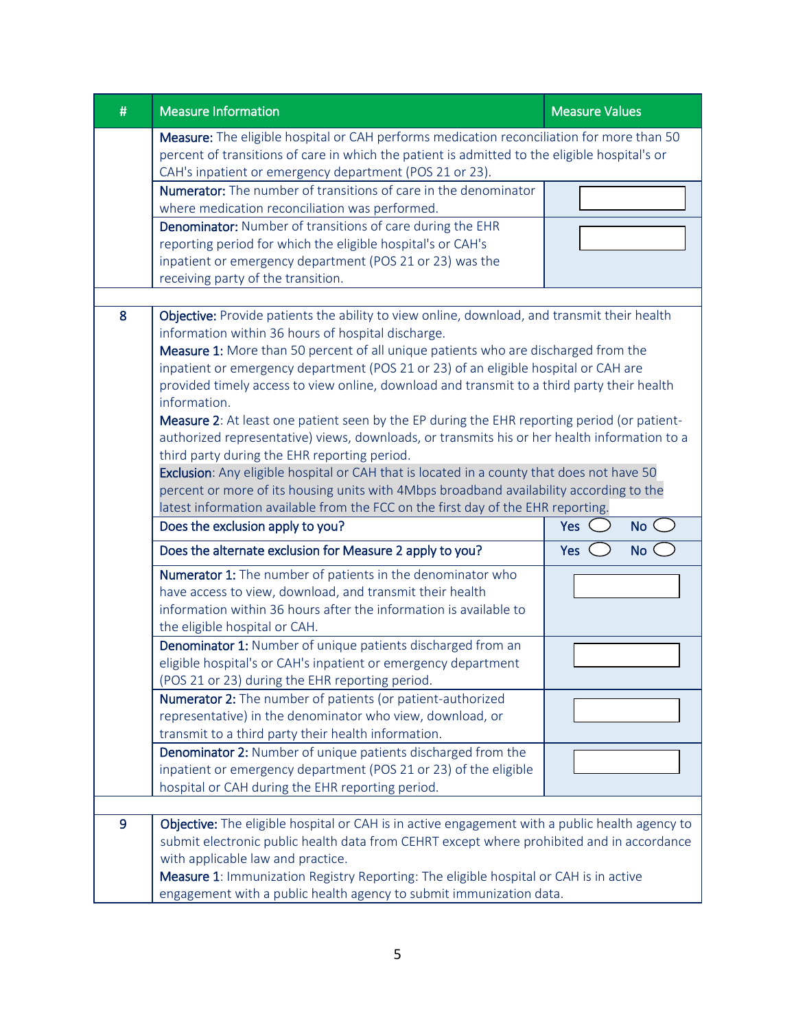| #                                                                                                                                                                                                                                                                                                                                                                                                                                                                                                                                                                                                                                                                                                                                                                                                                                                                                                                                                                            | <b>Measure Information</b>                                                                                                                                                                                                                                                                                                                                                                       | <b>Measure Values</b> |
|------------------------------------------------------------------------------------------------------------------------------------------------------------------------------------------------------------------------------------------------------------------------------------------------------------------------------------------------------------------------------------------------------------------------------------------------------------------------------------------------------------------------------------------------------------------------------------------------------------------------------------------------------------------------------------------------------------------------------------------------------------------------------------------------------------------------------------------------------------------------------------------------------------------------------------------------------------------------------|--------------------------------------------------------------------------------------------------------------------------------------------------------------------------------------------------------------------------------------------------------------------------------------------------------------------------------------------------------------------------------------------------|-----------------------|
|                                                                                                                                                                                                                                                                                                                                                                                                                                                                                                                                                                                                                                                                                                                                                                                                                                                                                                                                                                              | Measure: The eligible hospital or CAH performs medication reconciliation for more than 50<br>percent of transitions of care in which the patient is admitted to the eligible hospital's or<br>CAH's inpatient or emergency department (POS 21 or 23).                                                                                                                                            |                       |
|                                                                                                                                                                                                                                                                                                                                                                                                                                                                                                                                                                                                                                                                                                                                                                                                                                                                                                                                                                              | <b>Numerator:</b> The number of transitions of care in the denominator                                                                                                                                                                                                                                                                                                                           |                       |
|                                                                                                                                                                                                                                                                                                                                                                                                                                                                                                                                                                                                                                                                                                                                                                                                                                                                                                                                                                              | where medication reconciliation was performed.                                                                                                                                                                                                                                                                                                                                                   |                       |
|                                                                                                                                                                                                                                                                                                                                                                                                                                                                                                                                                                                                                                                                                                                                                                                                                                                                                                                                                                              | Denominator: Number of transitions of care during the EHR                                                                                                                                                                                                                                                                                                                                        |                       |
|                                                                                                                                                                                                                                                                                                                                                                                                                                                                                                                                                                                                                                                                                                                                                                                                                                                                                                                                                                              | reporting period for which the eligible hospital's or CAH's                                                                                                                                                                                                                                                                                                                                      |                       |
|                                                                                                                                                                                                                                                                                                                                                                                                                                                                                                                                                                                                                                                                                                                                                                                                                                                                                                                                                                              | inpatient or emergency department (POS 21 or 23) was the                                                                                                                                                                                                                                                                                                                                         |                       |
|                                                                                                                                                                                                                                                                                                                                                                                                                                                                                                                                                                                                                                                                                                                                                                                                                                                                                                                                                                              | receiving party of the transition.                                                                                                                                                                                                                                                                                                                                                               |                       |
|                                                                                                                                                                                                                                                                                                                                                                                                                                                                                                                                                                                                                                                                                                                                                                                                                                                                                                                                                                              |                                                                                                                                                                                                                                                                                                                                                                                                  |                       |
| Objective: Provide patients the ability to view online, download, and transmit their health<br>8<br>information within 36 hours of hospital discharge.<br>Measure 1: More than 50 percent of all unique patients who are discharged from the<br>inpatient or emergency department (POS 21 or 23) of an eligible hospital or CAH are<br>provided timely access to view online, download and transmit to a third party their health<br>information.<br>Measure 2: At least one patient seen by the EP during the EHR reporting period (or patient-<br>authorized representative) views, downloads, or transmits his or her health information to a<br>third party during the EHR reporting period.<br>Exclusion: Any eligible hospital or CAH that is located in a county that does not have 50<br>percent or more of its housing units with 4Mbps broadband availability according to the<br>latest information available from the FCC on the first day of the EHR reporting. |                                                                                                                                                                                                                                                                                                                                                                                                  |                       |
|                                                                                                                                                                                                                                                                                                                                                                                                                                                                                                                                                                                                                                                                                                                                                                                                                                                                                                                                                                              | Does the exclusion apply to you?                                                                                                                                                                                                                                                                                                                                                                 | Yes<br>No<            |
|                                                                                                                                                                                                                                                                                                                                                                                                                                                                                                                                                                                                                                                                                                                                                                                                                                                                                                                                                                              | Does the alternate exclusion for Measure 2 apply to you?                                                                                                                                                                                                                                                                                                                                         | <b>No</b><br>Yes      |
|                                                                                                                                                                                                                                                                                                                                                                                                                                                                                                                                                                                                                                                                                                                                                                                                                                                                                                                                                                              | Numerator 1: The number of patients in the denominator who<br>have access to view, download, and transmit their health<br>information within 36 hours after the information is available to<br>the eligible hospital or CAH.                                                                                                                                                                     |                       |
|                                                                                                                                                                                                                                                                                                                                                                                                                                                                                                                                                                                                                                                                                                                                                                                                                                                                                                                                                                              | Denominator 1: Number of unique patients discharged from an<br>eligible hospital's or CAH's inpatient or emergency department<br>(POS 21 or 23) during the EHR reporting period.                                                                                                                                                                                                                 |                       |
|                                                                                                                                                                                                                                                                                                                                                                                                                                                                                                                                                                                                                                                                                                                                                                                                                                                                                                                                                                              | <b>Numerator 2:</b> The number of patients (or patient-authorized<br>representative) in the denominator who view, download, or<br>transmit to a third party their health information.                                                                                                                                                                                                            |                       |
|                                                                                                                                                                                                                                                                                                                                                                                                                                                                                                                                                                                                                                                                                                                                                                                                                                                                                                                                                                              | Denominator 2: Number of unique patients discharged from the<br>inpatient or emergency department (POS 21 or 23) of the eligible<br>hospital or CAH during the EHR reporting period.                                                                                                                                                                                                             |                       |
|                                                                                                                                                                                                                                                                                                                                                                                                                                                                                                                                                                                                                                                                                                                                                                                                                                                                                                                                                                              |                                                                                                                                                                                                                                                                                                                                                                                                  |                       |
| 9                                                                                                                                                                                                                                                                                                                                                                                                                                                                                                                                                                                                                                                                                                                                                                                                                                                                                                                                                                            | Objective: The eligible hospital or CAH is in active engagement with a public health agency to<br>submit electronic public health data from CEHRT except where prohibited and in accordance<br>with applicable law and practice.<br>Measure 1: Immunization Registry Reporting: The eligible hospital or CAH is in active<br>engagement with a public health agency to submit immunization data. |                       |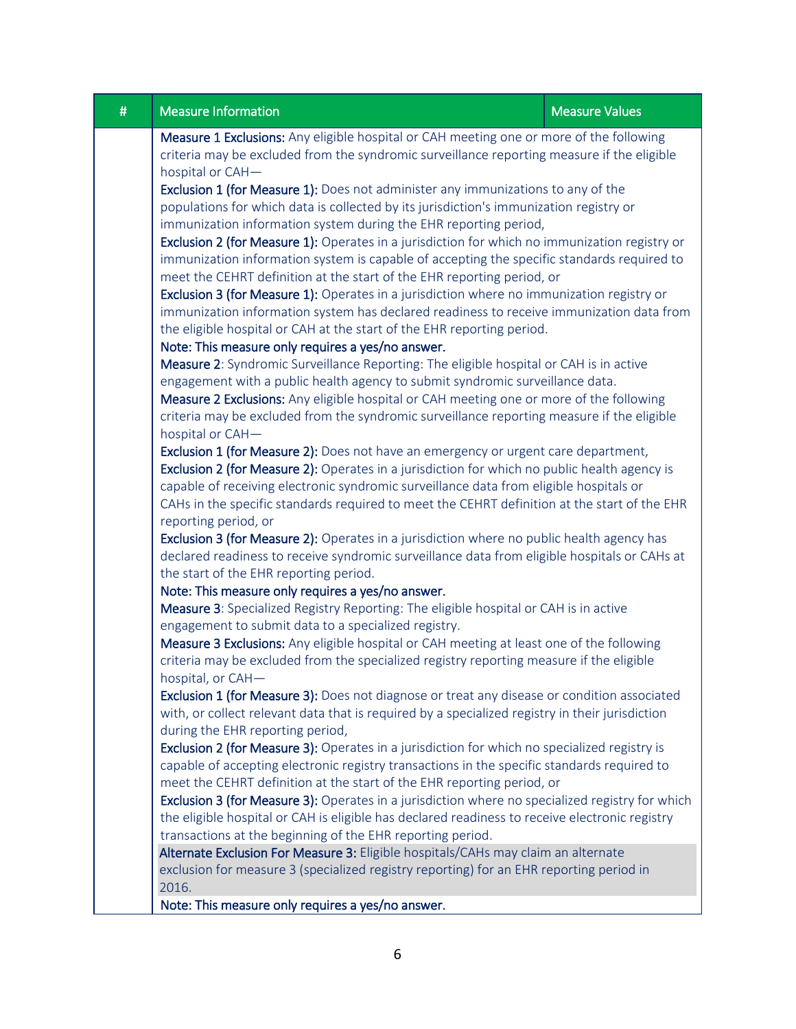| # | <b>Measure Information</b>                                                                                                                                                                                                                                                                                                                                                                     | <b>Measure Values</b> |
|---|------------------------------------------------------------------------------------------------------------------------------------------------------------------------------------------------------------------------------------------------------------------------------------------------------------------------------------------------------------------------------------------------|-----------------------|
|   | Measure 1 Exclusions: Any eligible hospital or CAH meeting one or more of the following<br>criteria may be excluded from the syndromic surveillance reporting measure if the eligible<br>hospital or CAH-<br><b>Exclusion 1 (for Measure 1):</b> Does not administer any immunizations to any of the<br>populations for which data is collected by its jurisdiction's immunization registry or |                       |
|   |                                                                                                                                                                                                                                                                                                                                                                                                |                       |
|   | immunization information system during the EHR reporting period,<br>Exclusion 2 (for Measure 1): Operates in a jurisdiction for which no immunization registry or<br>immunization information system is capable of accepting the specific standards required to                                                                                                                                |                       |
|   | meet the CEHRT definition at the start of the EHR reporting period, or<br>Exclusion 3 (for Measure 1): Operates in a jurisdiction where no immunization registry or                                                                                                                                                                                                                            |                       |
|   | immunization information system has declared readiness to receive immunization data from<br>the eligible hospital or CAH at the start of the EHR reporting period.                                                                                                                                                                                                                             |                       |
|   | Note: This measure only requires a yes/no answer.<br>Measure 2: Syndromic Surveillance Reporting: The eligible hospital or CAH is in active                                                                                                                                                                                                                                                    |                       |
|   | engagement with a public health agency to submit syndromic surveillance data.<br>Measure 2 Exclusions: Any eligible hospital or CAH meeting one or more of the following<br>criteria may be excluded from the syndromic surveillance reporting measure if the eligible                                                                                                                         |                       |
|   | hospital or CAH-<br>Exclusion 1 (for Measure 2): Does not have an emergency or urgent care department,<br>Exclusion 2 (for Measure 2): Operates in a jurisdiction for which no public health agency is<br>capable of receiving electronic syndromic surveillance data from eligible hospitals or                                                                                               |                       |
|   | CAHs in the specific standards required to meet the CEHRT definition at the start of the EHR<br>reporting period, or                                                                                                                                                                                                                                                                           |                       |
|   | Exclusion 3 (for Measure 2): Operates in a jurisdiction where no public health agency has<br>declared readiness to receive syndromic surveillance data from eligible hospitals or CAHs at<br>the start of the EHR reporting period.                                                                                                                                                            |                       |
|   | Note: This measure only requires a yes/no answer.<br>Measure 3: Specialized Registry Reporting: The eligible hospital or CAH is in active<br>engagement to submit data to a specialized registry.                                                                                                                                                                                              |                       |
|   | Measure 3 Exclusions: Any eligible hospital or CAH meeting at least one of the following<br>criteria may be excluded from the specialized registry reporting measure if the eligible<br>hospital, or CAH-                                                                                                                                                                                      |                       |
|   | Exclusion 1 (for Measure 3): Does not diagnose or treat any disease or condition associated<br>with, or collect relevant data that is required by a specialized registry in their jurisdiction<br>during the EHR reporting period,                                                                                                                                                             |                       |
|   | Exclusion 2 (for Measure 3): Operates in a jurisdiction for which no specialized registry is<br>capable of accepting electronic registry transactions in the specific standards required to<br>meet the CEHRT definition at the start of the EHR reporting period, or                                                                                                                          |                       |
|   | Exclusion 3 (for Measure 3): Operates in a jurisdiction where no specialized registry for which<br>the eligible hospital or CAH is eligible has declared readiness to receive electronic registry<br>transactions at the beginning of the EHR reporting period.                                                                                                                                |                       |
|   | Alternate Exclusion For Measure 3: Eligible hospitals/CAHs may claim an alternate<br>exclusion for measure 3 (specialized registry reporting) for an EHR reporting period in<br>2016.                                                                                                                                                                                                          |                       |
|   | Note: This measure only requires a yes/no answer.                                                                                                                                                                                                                                                                                                                                              |                       |